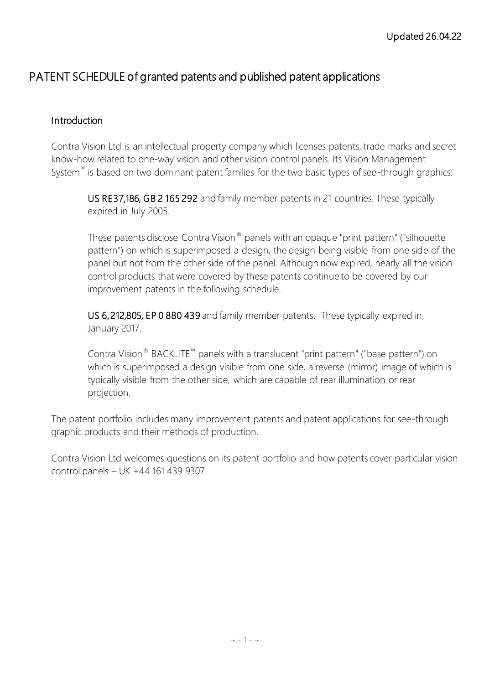## PATENT SCHEDULE of granted patents and published patent applications

### Introduction

Contra Vision Ltd is an intellectual property company which licenses patents, trade marks and secret know-how related to one-way vision and other vision control panels. Its Vision Management System<sup>™</sup> is based on two dominant patent families for the two basic types of see-through graphics:

 US RE37,186, GB 2 165 292 and family member patents in 21 countries. These typically expired in July 2005.

These patents disclose Contra Vision® panels with an opaque "print pattern" ("silhouette pattern") on which is superimposed a design, the design being visible from one side of the panel but not from the other side of the panel. Although now expired, nearly all the vision control products that were covered by these patents continue to be covered by our improvement patents in the following schedule.

 US 6,212,805, EP 0 880 439 and family member patents. These typically expired in January 2017.

Contra Vision® BACKLITE™ panels with a translucent "print pattern" ("base pattern") on which is superimposed a design visible from one side, a reverse (mirror) image of which is typically visible from the other side, which are capable of rear illumination or rear projection.

The patent portfolio includes many improvement patents and patent applications for see-through graphic products and their methods of production.

Contra Vision Ltd welcomes questions on its patent portfolio and how patents cover particular vision control panels – UK +44 161 439 9307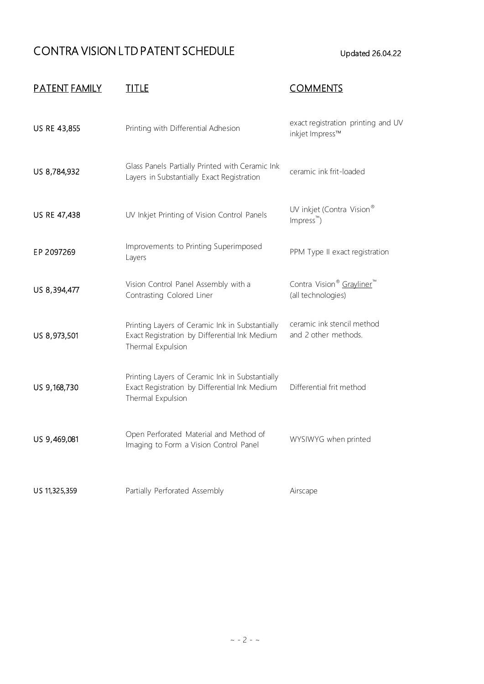# CONTRA VISION LTD PATENT SCHEDULE Updated 26.04.22

| <u>PATENT FAMILY</u> | <u>TITLE</u>                                                                                                          | <b>COMMENTS</b>                                             |
|----------------------|-----------------------------------------------------------------------------------------------------------------------|-------------------------------------------------------------|
| US RE 43,855         | Printing with Differential Adhesion                                                                                   | exact registration printing and UV<br>inkjet Impress™       |
| US 8,784,932         | Glass Panels Partially Printed with Ceramic Ink<br>Layers in Substantially Exact Registration                         | ceramic ink frit-loaded                                     |
| US RE 47,438         | UV Inkjet Printing of Vision Control Panels                                                                           | UV inkjet (Contra Vision®<br>$Impress^m$ )                  |
| EP 2097269           | Improvements to Printing Superimposed<br>Layers                                                                       | PPM Type II exact registration                              |
| US 8,394,477         | Vision Control Panel Assembly with a<br>Contrasting Colored Liner                                                     | Contra Vision <sup>®</sup> Grayliner™<br>(all technologies) |
| US 8,973,501         | Printing Layers of Ceramic Ink in Substantially<br>Exact Registration by Differential Ink Medium<br>Thermal Expulsion | ceramic ink stencil method<br>and 2 other methods.          |
| US 9,168,730         | Printing Layers of Ceramic Ink in Substantially<br>Exact Registration by Differential Ink Medium<br>Thermal Expulsion | Differential frit method                                    |
| US 9,469,081         | Open Perforated Material and Method of<br>Imaging to Form a Vision Control Panel                                      | WYSIWYG when printed                                        |
| US 11,325,359        | Partially Perforated Assembly                                                                                         | Airscape                                                    |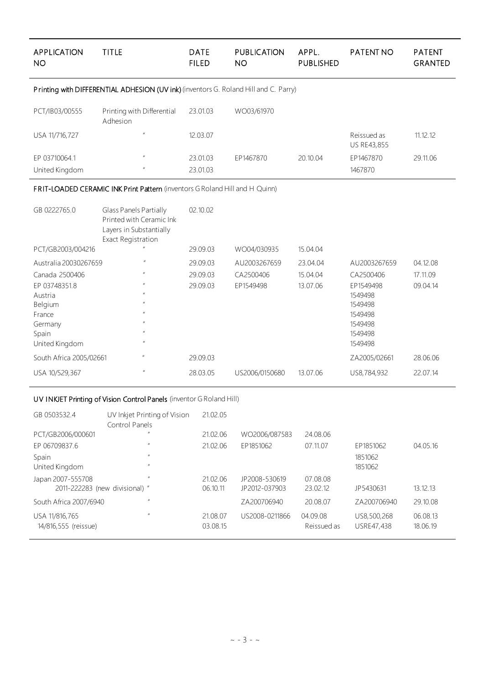| <b>APPLICATION</b><br><b>NO</b>                                                      | <b>TITLE</b>                                                                                               | <b>DATE</b><br><b>FILED</b> | <b>PUBLICATION</b><br><b>NO</b> | APPL.<br><b>PUBLISHED</b> | <b>PATENT NO</b>           | <b>PATENT</b><br><b>GRANTED</b> |  |  |
|--------------------------------------------------------------------------------------|------------------------------------------------------------------------------------------------------------|-----------------------------|---------------------------------|---------------------------|----------------------------|---------------------------------|--|--|
| Printing with DIFFERENTIAL ADHESION (UV ink) (inventors G. Roland Hill and C. Parry) |                                                                                                            |                             |                                 |                           |                            |                                 |  |  |
| PCT/IB03/00555                                                                       | Printing with Differential<br>Adhesion                                                                     | 23.01.03                    | WO03/61970                      |                           |                            |                                 |  |  |
| USA 11/716,727                                                                       |                                                                                                            | 12.03.07                    |                                 |                           | Reissued as<br>US RE43,855 | 11.12.12                        |  |  |
| EP 03710064.1<br>United Kingdom                                                      |                                                                                                            | 23.01.03<br>23.01.03        | EP1467870                       | 20.10.04                  | EP1467870<br>1467870       | 29.11.06                        |  |  |
|                                                                                      | FRIT-LOADED CERAMIC INK Print Pattern (inventors G Roland Hill and H Quinn)                                |                             |                                 |                           |                            |                                 |  |  |
| GB 0222765.0                                                                         | Glass Panels Partially<br>Printed with Ceramic Ink<br>Layers in Substantially<br><b>Exact Registration</b> | 02.10.02                    |                                 |                           |                            |                                 |  |  |
| PCT/GB2003/004216                                                                    |                                                                                                            | 29.09.03                    | WO04/030935                     | 15.04.04                  |                            |                                 |  |  |
| Australia 20030267659                                                                |                                                                                                            | 29.09.03                    | AU2003267659                    | 23.04.04                  | AU2003267659               | 04.12.08                        |  |  |
| Canada 2500406                                                                       |                                                                                                            | 29.09.03                    | CA2500406                       | 15.04.04                  | CA2500406                  | 17.11.09                        |  |  |
| EP 03748351.8                                                                        |                                                                                                            | 29.09.03                    | EP1549498                       | 13.07.06                  | EP1549498                  | 09.04.14                        |  |  |
| Austria                                                                              |                                                                                                            |                             |                                 |                           | 1549498                    |                                 |  |  |
| Belgium                                                                              |                                                                                                            |                             |                                 |                           | 1549498                    |                                 |  |  |
| France<br>Germany                                                                    |                                                                                                            |                             |                                 |                           | 1549498<br>1549498         |                                 |  |  |
| Spain                                                                                |                                                                                                            |                             |                                 |                           | 1549498                    |                                 |  |  |
| United Kingdom                                                                       |                                                                                                            |                             |                                 |                           | 1549498                    |                                 |  |  |
| South Africa 2005/02661                                                              |                                                                                                            | 29.09.03                    |                                 |                           | ZA2005/02661               | 28.06.06                        |  |  |
| USA 10/529,367                                                                       |                                                                                                            | 28.03.05                    | US2006/0150680                  | 13.07.06                  | US8,784,932                | 22.07.14                        |  |  |

#### UV INKJET Printing of Vision Control Panels (inventor G Roland Hill)

| GB 0503532.4                           | UV Inkjet Printing of Vision<br>Control Panels | 21.02.05             |                |                         |                           |                      |
|----------------------------------------|------------------------------------------------|----------------------|----------------|-------------------------|---------------------------|----------------------|
| PCT/GB2006/000601                      | $\prime\prime$                                 | 21.02.06             | WO2006/087583  | 24.08.06                |                           |                      |
| EP 06709837.6                          | $\prime\prime$                                 | 21.02.06             | EP1851062      | 07.11.07                | EP1851062                 | 04.05.16             |
| Spain                                  | $\prime\prime$                                 |                      |                |                         | 1851062                   |                      |
| United Kingdom                         | $\prime\prime$                                 |                      |                |                         | 1851062                   |                      |
| Japan 2007-555708                      | $\prime\prime$                                 | 21.02.06             | JP2008-530619  | 07.08.08                |                           |                      |
| 2011-222283 (new divisional) "         |                                                | 06.10.11             | JP2012-037903  | 23.02.12                | JP5430631                 | 13.12.13             |
| South Africa 2007/6940                 | $\prime\prime$                                 |                      | ZA200706940    | 20.08.07                | ZA200706940               | 29.10.08             |
| USA 11/816,765<br>14/816,555 (reissue) | $\prime\prime$                                 | 21.08.07<br>03.08.15 | US2008-0211866 | 04.09.08<br>Reissued as | US8,500,268<br>USRE47,438 | 06.08.13<br>18.06.19 |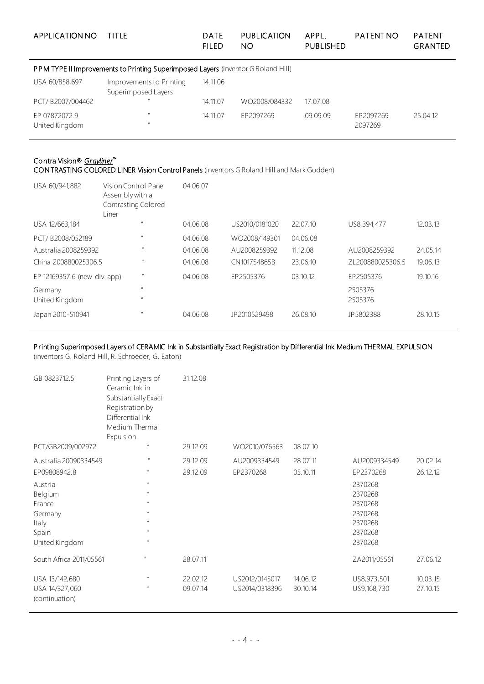| APPLICATION NO                  | TITLE                                                                             | DATE<br><b>FILED</b> | <b>PUBLICATION</b><br>NO. | APPL.<br><b>PUBLISHED</b> | <b>PATENT NO</b>     | <b>PATENT</b><br><b>GRANTED</b> |
|---------------------------------|-----------------------------------------------------------------------------------|----------------------|---------------------------|---------------------------|----------------------|---------------------------------|
|                                 | PPM TYPE II Improvements to Printing Superimposed Layers (inventor G Roland Hill) |                      |                           |                           |                      |                                 |
| USA 60/858,697                  | Improvements to Printing<br>Superimposed Layers                                   | 14.11.06             |                           |                           |                      |                                 |
| PCT/IB2007/004462               | $\prime\prime$                                                                    | 14.11.07             | WO2008/084332             | 17.07.08                  |                      |                                 |
| EP 07872072.9<br>United Kingdom | $\prime\prime$<br>$^{\prime\prime}$                                               | 14.11.07             | EP2097269                 | 09.09.09                  | EP2097269<br>2097269 | 25.04.12                        |

## Contra Vision® *Grayliner*™

CONTRASTING COLORED LINER Vision Control Panels (inventors G Roland Hill and Mark Godden)

| USA 60/941,882               | Vision Control Panel<br>Assembly with a<br>Contrasting Colored<br>Liner |                  | 04.06.07 |                |          |                  |          |
|------------------------------|-------------------------------------------------------------------------|------------------|----------|----------------|----------|------------------|----------|
| USA 12/663,184               |                                                                         | $_{II}$          | 04.06.08 | US2010/0181020 | 22.07.10 | US8,394,477      | 12.03.13 |
| PCT/IB2008/052189            |                                                                         | $\prime\prime$   | 04.06.08 | WO2008/149301  | 04.06.08 |                  |          |
| Australia 2008259392         |                                                                         | $\mathbf{u}$     | 04.06.08 | AU2008259392   | 11.12.08 | AU2008259392     | 24.05.14 |
| China 200880025306.5         |                                                                         | $\boldsymbol{u}$ | 04.06.08 | CN101754865B   | 23.06.10 | ZL200880025306.5 | 19.06.13 |
| EP 12169357.6 (new div. app) |                                                                         | $\mathbf{u}$     | 04.06.08 | EP2505376      | 03.10.12 | EP2505376        | 19.10.16 |
| Germany                      |                                                                         | $\prime\prime$   |          |                |          | 2505376          |          |
| United Kingdom               |                                                                         | $\prime\prime$   |          |                |          | 2505376          |          |
| Japan 2010-510941            |                                                                         | $\boldsymbol{u}$ | 04.06.08 | JP2010529498   | 26.08.10 | JP5802388        | 28.10.15 |

#### Printing Superimposed Layers of CERAMIC Ink in Substantially Exact Registration by Differential Ink Medium THERMAL EXPULSION

(inventors G. Roland Hill, R. Schroeder, G. Eaton)

| GB 0823712.5                                                                                                         | Printing Layers of<br>Ceramic Ink in<br>Substantially Exact<br>Registrationby<br>Differential Ink<br>Medium Thermal<br>Expulsion                                                                                                                               | 31.12.08             |                                  |                      |                                                                                                        |                      |
|----------------------------------------------------------------------------------------------------------------------|----------------------------------------------------------------------------------------------------------------------------------------------------------------------------------------------------------------------------------------------------------------|----------------------|----------------------------------|----------------------|--------------------------------------------------------------------------------------------------------|----------------------|
| PCT/GB2009/002972                                                                                                    | $\boldsymbol{\mathit{II}}$                                                                                                                                                                                                                                     | 29.12.09             | WO2010/076563                    | 08.07.10             |                                                                                                        |                      |
| Australia 20090334549<br>EP09808942.8<br>Austria<br>Belgium<br>France<br>Germany<br>Italy<br>Spain<br>United Kingdom | $\prime\prime$<br>$\boldsymbol{\mathit{II}}$<br>$\boldsymbol{\mathit{II}}$<br>$\boldsymbol{\mathit{II}}$<br>$\boldsymbol{\mathit{II}}$<br>$\boldsymbol{\mathit{II}}$<br>$\boldsymbol{\mathit{II}}$<br>$\boldsymbol{\mathit{II}}$<br>$\boldsymbol{\mathit{II}}$ | 29.12.09<br>29.12.09 | AU2009334549<br>EP2370268        | 28.07.11<br>05.10.11 | AU2009334549<br>EP2370268<br>2370268<br>2370268<br>2370268<br>2370268<br>2370268<br>2370268<br>2370268 | 20.02.14<br>26.12.12 |
| South Africa 2011/05561                                                                                              | $\boldsymbol{u}$                                                                                                                                                                                                                                               | 28.07.11             |                                  |                      | ZA2011/05561                                                                                           | 27.06.12             |
| USA 13/142,680<br>USA 14/327,060<br>(continuation)                                                                   | $\boldsymbol{\mathit{II}}$<br>$\boldsymbol{\mathit{II}}$                                                                                                                                                                                                       | 22.02.12<br>09.07.14 | US2012/0145017<br>US2014/0318396 | 14.06.12<br>30.10.14 | US8,973,501<br>US9,168,730                                                                             | 10.03.15<br>27.10.15 |